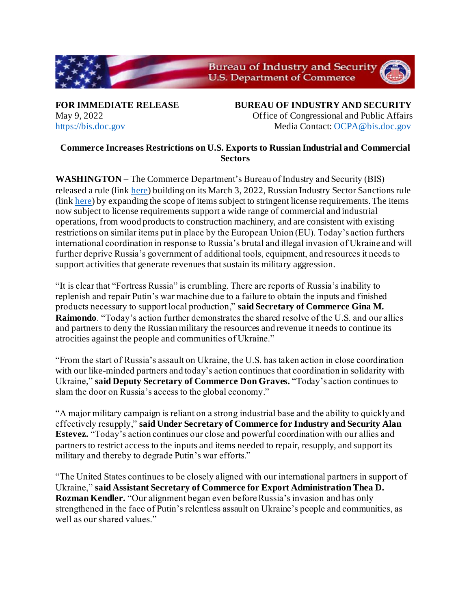

**FOR IMMEDIATE RELEASE BUREAU OF INDUSTRY AND SECURITY** May 9, 2022 Office of Congressional and Public Affairs [https://bis.doc.gov](https://bis.doc.gov/) Media Contact[: OCPA@bis.doc.gov](mailto:OCPA@bis.doc.gov)

## **Commerce Increases Restrictions on U.S. Exports to Russian Industrial and Commercial Sectors**

**WASHINGTON** – The Commerce Department's Bureau of Industry and Security (BIS) released a rule (link [here\)](https://public-inspection.federalregister.gov/2022-10099.pdf) building on its March 3, 2022, Russian Industry Sector Sanctions rule (link [here\)](https://www.federalregister.gov/documents/2022/03/08/2022-04912/expansion-of-sanctions-against-the-russian-industry-sector-under-the-export-administration) by expanding the scope of items subject to stringent license requirements. The items now subject to license requirements support a wide range of commercial and industrial operations, from wood products to construction machinery, and are consistent with existing restrictions on similar items put in place by the European Union (EU). Today's action furthers international coordination in response to Russia's brutal and illegal invasion of Ukraine and will further deprive Russia's government of additional tools, equipment, and resources it needs to support activities that generate revenues that sustain its military aggression.

"It is clear that "Fortress Russia" is crumbling. There are reports of Russia's inability to replenish and repair Putin's war machine due to a failure to obtain the inputs and finished products necessary to support local production," **said Secretary of Commerce Gina M. Raimondo**. "Today's action further demonstrates the shared resolve of the U.S. and our allies and partners to deny the Russian military the resources and revenue it needs to continue its atrocities against the people and communities of Ukraine."

"From the start of Russia's assault on Ukraine, the U.S. has taken action in close coordination with our like-minded partners and today's action continues that coordination in solidarity with Ukraine," **said Deputy Secretary of Commerce Don Graves.** "Today's action continues to slam the door on Russia's access to the global economy."

"A major military campaign is reliant on a strong industrial base and the ability to quickly and effectively resupply," **said Under Secretary of Commerce for Industry and Security Alan Estevez.** "Today's action continues our close and powerful coordination with our allies and partners to restrict access to the inputs and items needed to repair, resupply, and support its military and thereby to degrade Putin's war efforts."

"The United States continues to be closely aligned with our international partners in support of Ukraine," **said Assistant Secretary of Commerce for Export Administration Thea D. Rozman Kendler.** "Our alignment began even before Russia's invasion and has only strengthened in the face of Putin's relentless assault on Ukraine's people and communities, as well as our shared values."